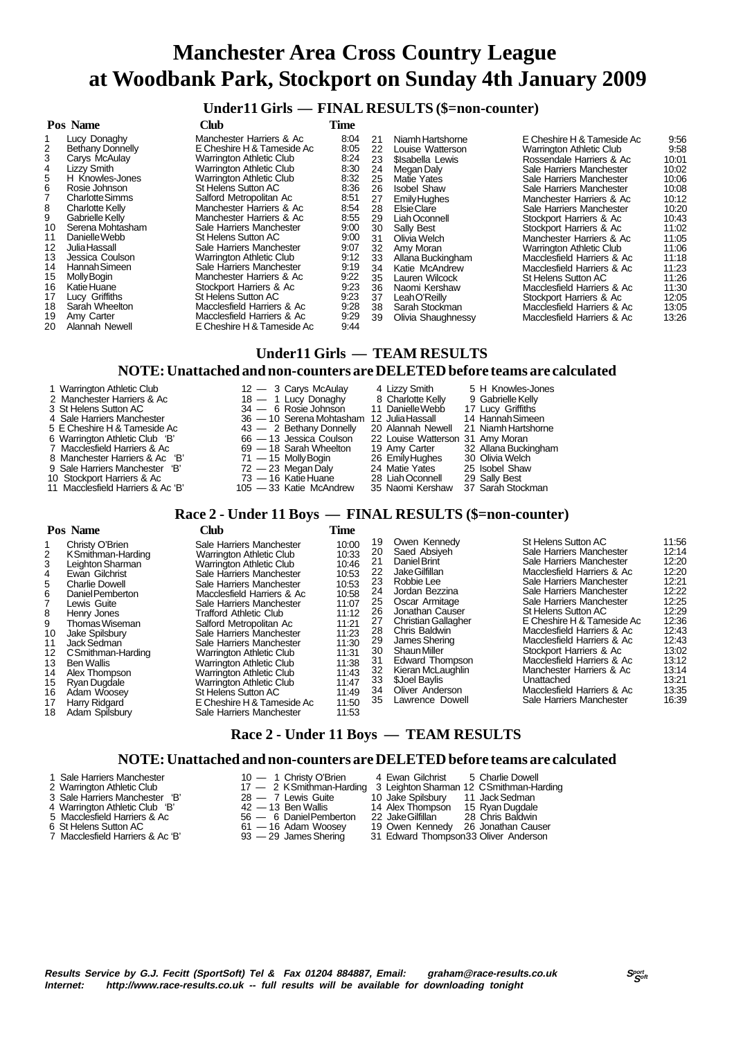### **Under11 Girls — FINAL RESULTS (\$=non-counter)**

#### **Pos Name Club Time** Lucy Donaghy **Manchester Harriers & Ac** 8:04<br>
Bethany Donnelly **E** Cheshire H & Tameside Ac 8:05 2 Bethany Donnelly E Cheshire H & Tameside Ac 8:05<br>3 Carys McAulay 6:24 Warrington Athletic Club 8:24 3 Carys McAulay Warrington Athletic Club 8:24<br>
4 Lizzy Smith Warrington Athletic Club 8:30<br>
5 H Knowles-Jones Warrington Athletic Club 8:32 4 Lizzy Smith Warrington Athletic Club 8:30 5 H Knowles-Jones Warrington Athletic Club 8:32 Francisco Rosie Johnson St Helens Sutton AC 8:36<br>
7 Charlotte Simms Salford Metropolitan Ac 8:51 7 Charlotte Simms Salford Metropolitan Ac 8:51<br>8 Charlotte Kelly Manchester Harriers & Ac 8:54 8 Charlotte Kelly Manchester Harriers & Ac 8:54 9 Gabrielle Kelly Manchester Harriers & Ac 8:55 10 Serena Mohtasham Sale Harriers Manchester 9:00<br>11 Danielle Webb St Helens Sutton AC 9:00 11 Danielle Webb St Helens Sutton AC 9:00 12 Julia Hassall Sale Harriers Manchester 9:07 13 Jessica Coulson Varrington Athletic Club 9:12<br>14 Hannah Simeen Sale Harriers Manchester 9:19 14 Hannah Simeen Sale Harriers Manchester 9:19<br>15 Molly Bogin Manchester Harriers & Ac 9:22 15 Molly Bogin Manchester Harriers & Ac 9:22<br>16 Katie Huane Manchester Harriers & Ac 9:22 16 Katie Huane 19:23<br>
16 Lucy Griffiths 16 St Helens Sutton AC 16:23<br>
16:23 Sarah Wheelton 16 Macclesfield Harriers & Ac 16:28 17 Lucy Griffiths St Helens Sutton AC 9:23 18 Sarah Wheelton Macclesfield Harriers & Ac 9:28 19 Amy Carter 19:29<br>
19 Alannah Newell **19 Alannah Newell**<br>
19:44 F Cheshire H & Tameside Ac 19:44 20 Alannah Newell **E** Cheshire H & Tameside Ac 21 Niamh Hartshorne E Cheshire H & Tameside Ac 9:56<br>22 Louise Watterson Marrington Athletic Club 9:58 22 Louise Watterson **Warrington Athletic Club 9:58**<br>23 Sisabella Lewis Rossendale Harriers & Ac 10:01 23 \$Isabella Lewis Rossendale Harriers & Ac 10:01 24 Megan Daly Sale Harriers Manchester 10:02<br>25 Matie Yates Sale Harriers Manchester 10:06 25 Matie Yates Sale Harriers Manchester 10:06 26 Isobel Shaw Sale Harriers Manchester 10:08 27 Emily Hughes Manchester Harriers & Ac 10:12 28 Elsie Clare Clare Sale Harriers Manchester 10:20<br>29 Liah Oconnell Stockport Harriers & Ac 10:43 29 Liah Oconnell Stockport Harriers & Ac 10:43 30 Sally Best Stockport Harriers & Ac 11:02<br>31 Olivia Welch Manchester Harriers & Ac 11:05 31 Olivia Welch Manchester Harriers & Ac 11:05<br>32 Amy Moran Marrington Athletic Club 11:06 32 Amy Moran Warrington Athletic Club 11:06 33 Allana Buckingham Macclesfield Harriers & Ac 11:18 34 Katie McAndrew Macclesfield Harriers & Ac 11:23 35 Lauren Wilcock St Helens Sutton AC 11:26<br>36 Naomi Kershaw Micclesfield Harriers & Ac 11:30 36 Naomi Kershaw Macclesfield Harriers & Ac 11:30 37 Leah O'Reilly Stockport Harriers & Ac 12:05<br>38 Sarah Stockman Macclesfield Harriers & Ac 13:05 38 Sarah Stockman Macclesfield Harriers & Ac 13:05 Macclesfield Harriers & Ac

# **Under11 Girls — TEAM RESULTS NOTE: Unattached and non-counters are DELETED before teams are calculated**

- 
- 
- 
- 
- 
- 
- 
- 
- 
- 11 Macclesfield Harriers & Ac 'B'
- 1 Warrington Athletic Club 12 3 Carys McAulay 4 Lizzy Smith 5 H Knowles-Jones<br>2 Manchester Harriers & Ac 1 Lucy Donaghy 8 Charlotte Kelly 9 Gabrielle Kelly 2 Manchester Harriers & Ac 18 — 1 Lucy Donaghy 8 Charlotte Kelly 9 Gabrielle Kelly<br>3 St Helens Sutton AC 34 — 6 Rosie Johnson 11 Danielle Webb 17 Lucy Griffiths 3 St Helens Sutton AC 34 — 6 Rosie Johnson 11 Danielle Webb 17 Lucy Griffiths 4 Sale Harriers Manchester 36 — 10 Serena Mohtasham 12 Julia Hassall 14 Hannah Simeen 5 E Cheshire H & Tameside Ac  $\begin{array}{r} 43 - 2 \text{ } \text{Beta} \text{ is } 43 - 2 \text{ } \text{Beta} \text{ is } 43 - 2 \text{ } \text{Beta} \text{ is } 20 \text{.} \end{array}$  Alannah Newell 21 Niamh Hartshorne<br>6 Warrington Athletic Club 'B'  $\begin{array}{r} 66 - 13 \text{ } \text{J} \text{e} \text{ssica} \text{ } \text{Coul$  6 Warrington Athletic Club 'B' 66 — 13 Jessica Coulson 22 Louise Watterson 31 Amy Moran 7 Macclesfield Harriers & Ac 69 — 18 Sarah Wheelton 19 Amy Carter 32 Allana Buckingham 8 Manchester Harriers & Ac 'B' 71 — 15 Molly Bogin 26 Emily Hughes 30 Olivia Welch<br>9 Sale Harriers Manchester 'B' 72 — 23 Megan Dalv 24 Matie Yates 25 Isobel Shaw 9 Sale Harriers Manchester 'B' 72 — 23 Megan Daly 24 Matie Yates 25 Isobel Shaw
- 10 Stockport Harriers & Ac 73 16 Katie Huane 28 Liah Oconnell 29 Sally Best
	-

# **Race 2 - Under 11 Boys — FINAL RESULTS (\$=non-counter)**

|                                                                                       | Pos Name                                                                                                                                                                                                                                                                                                                               | <b>Club</b>                                                                                                                                                                                                                                                                                                                                                                                                                                                                                                                                                | Time                                                                                                                                                           |                                                                                                    |                                                                                                                                                                                                                                                                                                                                  |                                                                                                                                                                                                                                                                                                                                                                                                                                                                             |                                                                                                                                                       |
|---------------------------------------------------------------------------------------|----------------------------------------------------------------------------------------------------------------------------------------------------------------------------------------------------------------------------------------------------------------------------------------------------------------------------------------|------------------------------------------------------------------------------------------------------------------------------------------------------------------------------------------------------------------------------------------------------------------------------------------------------------------------------------------------------------------------------------------------------------------------------------------------------------------------------------------------------------------------------------------------------------|----------------------------------------------------------------------------------------------------------------------------------------------------------------|----------------------------------------------------------------------------------------------------|----------------------------------------------------------------------------------------------------------------------------------------------------------------------------------------------------------------------------------------------------------------------------------------------------------------------------------|-----------------------------------------------------------------------------------------------------------------------------------------------------------------------------------------------------------------------------------------------------------------------------------------------------------------------------------------------------------------------------------------------------------------------------------------------------------------------------|-------------------------------------------------------------------------------------------------------------------------------------------------------|
| 2<br>3<br>4<br>5<br>6<br>8<br>9<br>10<br>11<br>12<br>13<br>14<br>15<br>16<br>17<br>18 | Christy O'Brien<br>KSmithman-Harding<br>Leighton Sharman<br>Ewan Gilchrist<br><b>Charlie Dowell</b><br>Daniel Pemberton<br>Lewis Guite<br>Henry Jones<br>Thomas Wiseman<br>Jake Spilsbury<br>Jack Sedman<br>C Smithman-Harding<br><b>Ben Wallis</b><br>Alex Thompson<br>Ryan Dugdale<br>Adam Woosev<br>Harry Ridgard<br>Adam Spilsbury | Sale Harriers Manchester<br><b>Warrington Athletic Club</b><br><b>Warrington Athletic Club</b><br>Sale Harriers Manchester<br>Sale Harriers Manchester<br>Macclesfield Harriers & Ac<br>Sale Harriers Manchester<br>Trafford Athletic Club<br>Salford Metropolitan Ac<br>Sale Harriers Manchester<br>Sale Harriers Manchester<br><b>Warrington Athletic Club</b><br><b>Warrington Athletic Club</b><br><b>Warrington Athletic Club</b><br><b>Warrington Athletic Club</b><br>St Helens Sutton AC<br>E Cheshire H & Tameside Ac<br>Sale Harriers Manchester | 10:00<br>10:33<br>10:46<br>10:53<br>10:53<br>10:58<br>11:07<br>11:12<br>11:21<br>11:23<br>11:30<br>11:31<br>11:38<br>11:43<br>11:47<br>11:49<br>11:50<br>11:53 | 19<br>20<br>21<br>22<br>23<br>24<br>25<br>26<br>27<br>28<br>29<br>30<br>31<br>32<br>33<br>34<br>35 | Owen Kennedy<br>Saed Absiveh<br>Daniel Brint<br>Jake Gilfillan<br>Robbie Lee<br>Jordan Bezzina<br>Oscar Armitage<br>Jonathan Causer<br><b>Christian Gallagher</b><br>Chris Baldwin<br>James Shering<br><b>Shaun Miller</b><br><b>Edward Thompson</b><br>Kieran McLaughlin<br>\$Joel Baylis<br>Oliver Anderson<br>Lawrence Dowell | St Helens Sutton AC<br>Sale Harriers Manchester<br>Sale Harriers Manchester<br>Macclesfield Harriers & Ac<br>Sale Harriers Manchester<br>Sale Harriers Manchester<br>Sale Harriers Manchester<br>St Helens Sutton AC<br>E Cheshire H & Tameside Ac<br>Macclesfield Harriers & Ac<br>Macclesfield Harriers & Ac<br>Stockport Harriers & Ac<br>Macclesfield Harriers & Ac<br>Manchester Harriers & Ac<br>Unattached<br>Macclesfield Harriers & Ac<br>Sale Harriers Manchester | 11:56<br>12:14<br>12:20<br>12:20<br>12:21<br>12:22<br>12:25<br>12:29<br>12:36<br>12:43<br>12:43<br>13:02<br>13:12<br>13:14<br>13:21<br>13:35<br>16:39 |

### **Race 2 - Under 11 Boys — TEAM RESULTS**

#### **NOTE: Unattached and non-counters are DELETED before teams are calculated**

- 1 Sale Harriers Manchester 10 1 Christy O'Brien 4 Ewan Gilchrist 5 Charlie Dowell<br>
2 Warrington Athletic Club 17 2 KSmithman-Harding 3 Leighton Sharman 12 CSmithman-H<br>
3 Sale Harriers Manchester 'B' 28 7 Lewis Guite
- 2 Warrington Athletic Club 17 2 K Smithman-Harding 3 Leighton Sharman 12 C Smithman-Harding
- 3 Sale Harriers Manchester 'B' 28 7 Lewis Guite 10 Jake Spilsbury 11 Jack Sedman
- 
- 
- 61 16 Adam Woosey<br>
Macclesfield Harriers & Ac 'B' 93 29 James Shering
- 
- 
- 
- -
- -
- 4 Warrington Athletic Club 'B' 42 13 Ben Wallis 14 Alex Thompson 15 Ryan Dugdale<br>5 Macclesfield Harriers & Ac 56 6 Daniel Pemberton 22 Jake Gilfillan 28 Chris Baldwin 5 Macclesfield Harriers & Ac 56 — 6 Daniel Pemberton 22 Jake Gilfillan 28 Chris Baldwin<br>
6 St Helens Sutton AC 51 — 16 Adam Woosey 19 Owen Kennedy 26 Jonathan Causer<br>
7 Macclesfield Harriers & Ac 'B' 93 — 29 James Shering
	-
	- 31 Edward Thompson33 Oliver Anderson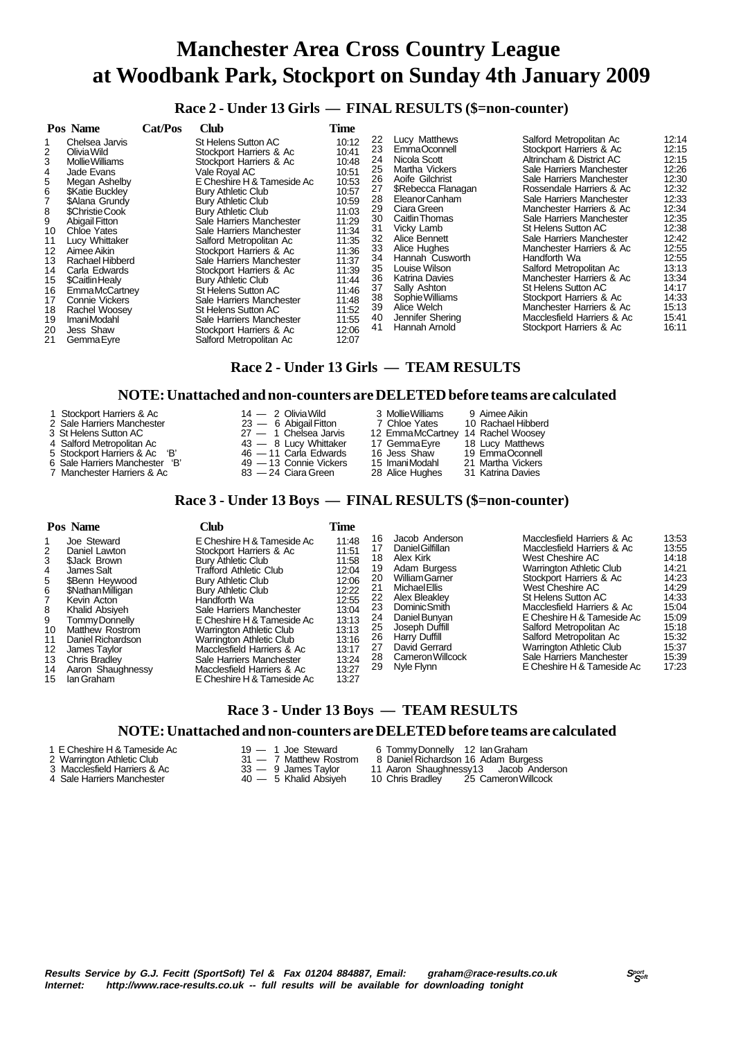### **Race 2 - Under 13 Girls — FINAL RESULTS (\$=non-counter)**

| Pos Name                                                                                                                                                                                                                                                                                                                                                                                                                                                                                                                        | Cat/Pos | Club                                                                                                                                                                                                                                                                                                                                                                                                                                                                                                                                                                   | Time                                                                                                                                                                                      |                                                                                                                      |                                                                                                                                                                                                                                                                                                                                                         |                                                                                                                                                                                                                                                                                                                                                                                                                                                                                                                                                            |                                                                                                                                                                                  |
|---------------------------------------------------------------------------------------------------------------------------------------------------------------------------------------------------------------------------------------------------------------------------------------------------------------------------------------------------------------------------------------------------------------------------------------------------------------------------------------------------------------------------------|---------|------------------------------------------------------------------------------------------------------------------------------------------------------------------------------------------------------------------------------------------------------------------------------------------------------------------------------------------------------------------------------------------------------------------------------------------------------------------------------------------------------------------------------------------------------------------------|-------------------------------------------------------------------------------------------------------------------------------------------------------------------------------------------|----------------------------------------------------------------------------------------------------------------------|---------------------------------------------------------------------------------------------------------------------------------------------------------------------------------------------------------------------------------------------------------------------------------------------------------------------------------------------------------|------------------------------------------------------------------------------------------------------------------------------------------------------------------------------------------------------------------------------------------------------------------------------------------------------------------------------------------------------------------------------------------------------------------------------------------------------------------------------------------------------------------------------------------------------------|----------------------------------------------------------------------------------------------------------------------------------------------------------------------------------|
| Chelsea Jarvis<br>$\overline{2}$<br>Olivia Wild<br>3<br><b>Mollie Williams</b><br>4<br>Jade Evans<br>5<br>Megan Ashelby<br>6<br><b><i>SKatie Bucklev</i></b><br>\$Alana Grundy<br>8<br>\$Christie Cook<br><b>Abigail Fitton</b><br>9<br>10<br>Chloe Yates<br>11<br>Lucy Whittaker<br>Aimee Aikin<br>12<br>Rachael Hibberd<br>13<br>Carla Edwards<br>14<br>15<br>\$Caitlin Healy<br>16<br><b>EmmaMcCartney</b><br><b>Connie Vickers</b><br>17<br>Rachel Woosey<br>18<br>ImaniModahl<br>19<br>Jess Shaw<br>20<br>21<br>Gemma Eyre |         | St Helens Sutton AC<br>Stockport Harriers & Ac<br>Stockport Harriers & Ac<br>Vale Roval AC<br>E Cheshire H & Tameside Ac<br><b>Bury Athletic Club</b><br><b>Bury Athletic Club</b><br><b>Bury Athletic Club</b><br>Sale Harriers Manchester<br>Sale Harriers Manchester<br>Salford Metropolitan Ac<br>Stockport Harriers & Ac<br>Sale Harriers Manchester<br>Stockport Harriers & Ac<br>Bury Athletic Club<br>St Helens Sutton AC<br>Sale Harriers Manchester<br>St Helens Sutton AC<br>Sale Harriers Manchester<br>Stockport Harriers & Ac<br>Salford Metropolitan Ac | 10:12<br>10:41<br>10:48<br>10:51<br>10:53<br>10:57<br>10:59<br>11:03<br>11:29<br>11:34<br>11:35<br>11:36<br>11:37<br>11:39<br>11:44<br>11:46<br>11:48<br>11:52<br>11:55<br>12:06<br>12:07 | 22<br>23<br>24<br>25<br>26<br>27<br>28<br>29<br>30<br>31<br>32<br>33<br>34<br>35<br>36<br>37<br>38<br>39<br>40<br>41 | Lucy Matthews<br>EmmaOconnell<br>Nicola Scott<br>Martha Vickers<br>Aoife Gilchrist<br>\$Rebecca Flanagan<br>Eleanor Canham<br>Ciara Green<br>Caitlin Thomas<br>Vicky Lamb<br>Alice Bennett<br>Alice Hughes<br>Hannah Cusworth<br>Louise Wilson<br>Katrina Davies<br>Sally Ashton<br>Sophie Williams<br>Alice Welch<br>Jennifer Shering<br>Hannah Arnold | Salford Metropolitan Ac<br>Stockport Harriers & Ac<br>Altrincham & District AC<br>Sale Harriers Manchester<br>Sale Harriers Manchester<br>Rossendale Harriers & Ac<br>Sale Harriers Manchester<br>Manchester Harriers & Ac<br>Sale Harriers Manchester<br><b>St Helens Sutton AC</b><br>Sale Harriers Manchester<br>Manchester Harriers & Ac<br>Handforth Wa<br>Salford Metropolitan Ac<br>Manchester Harriers & Ac<br>St Helens Sutton AC<br>Stockport Harriers & Ac<br>Manchester Harriers & Ac<br>Macclesfield Harriers & Ac<br>Stockport Harriers & Ac | 12:14<br>12:15<br>12:15<br>12:26<br>12:30<br>12:32<br>12:33<br>12:34<br>12:35<br>12:38<br>12:42<br>12:55<br>12:55<br>13:13<br>13:34<br>14:17<br>14:33<br>15:13<br>15.41<br>16:11 |

# **Race 2 - Under 13 Girls — TEAM RESULTS**

#### **NOTE: Unattached and non-counters are DELETED before teams are calculated**

| 1 Stockport Harriers & Ac      | $14 - 2$ Olivia Wild    | 3 Mollie Williams | 9 Aimee Aikin      |
|--------------------------------|-------------------------|-------------------|--------------------|
| 2 Sale Harriers Manchester     | $23 - 6$ Abigail Fitton | 7 Chloe Yates     | 10 Rachael Hibberd |
| 3 St Helens Sutton AC          | $27 - 1$ Chelsea Jarvis | 12 EmmaMcCartney  | 14 Rachel Woosev   |
| 4 Salford Metropolitan Ac      | 43 - 8 Lucy Whittaker   | 17 GemmaEyre      | 18 Lucy Matthews   |
| 5 Stockport Harriers & Ac 'B'  | 46 - 11 Carla Edwards   | 16 Jess Shaw      | 19 EmmaOconnell    |
| 6 Sale Harriers Manchester 'B' | 49 - 13 Connie Vickers  | 15 ImaniModahl    | 21 Martha Vickers  |
| 7 Manchester Harriers & Ac     | 83 — 24 Ciara Green     | 28 Alice Hughes   | 31 Katrina Davies  |

# **Race 3 - Under 13 Boys — FINAL RESULTS (\$=non-counter)**

|                                                                                  | Pos Name                                                                                                                                                                                                                                                         | Club                                                                                                                                                                                                                                                                                                                                                                                                                           | Time                                                                                                                                |                                                                            |                                                                                                                                                                                                                                             |                                                                                                                                                                                                                                                                                                                                                                                        |                                                                                                                            |
|----------------------------------------------------------------------------------|------------------------------------------------------------------------------------------------------------------------------------------------------------------------------------------------------------------------------------------------------------------|--------------------------------------------------------------------------------------------------------------------------------------------------------------------------------------------------------------------------------------------------------------------------------------------------------------------------------------------------------------------------------------------------------------------------------|-------------------------------------------------------------------------------------------------------------------------------------|----------------------------------------------------------------------------|---------------------------------------------------------------------------------------------------------------------------------------------------------------------------------------------------------------------------------------------|----------------------------------------------------------------------------------------------------------------------------------------------------------------------------------------------------------------------------------------------------------------------------------------------------------------------------------------------------------------------------------------|----------------------------------------------------------------------------------------------------------------------------|
| 2<br>3<br>4<br>5<br>6<br>8<br>9<br>10<br>11<br>12 <sup>1</sup><br>13<br>14<br>15 | Joe Steward<br>Daniel Lawton<br>\$Jack Brown<br>James Salt<br>\$Benn Hevwood<br>\$Nathan Milligan<br>Kevin Acton<br>Khalid Absiyeh<br>Tommy Donnelly<br>Matthew Rostrom<br>Daniel Richardson<br>James Tavlor<br>Chris Bradley<br>Aaron Shaughnessy<br>Ian Graham | E Cheshire H & Tameside Ac<br>Stockport Harriers & Ac<br><b>Bury Athletic Club</b><br>Trafford Athletic Club<br><b>Bury Athletic Club</b><br><b>Bury Athletic Club</b><br>Handforth Wa<br>Sale Harriers Manchester<br>E Cheshire H & Tameside Ac<br>Warrington Athletic Club<br>Warrington Athletic Club<br>Macclesfield Harriers & Ac<br>Sale Harriers Manchester<br>Macclesfield Harriers & Ac<br>E Cheshire H & Tameside Ac | 11:48<br>11:51<br>11:58<br>12:04<br>12:06<br>12:22<br>12:55<br>13:04<br>13:13<br>13:13<br>13:16<br>13:17<br>13:24<br>13:27<br>13:27 | 16<br>18<br>19<br>20<br>21<br>22<br>23<br>24<br>25<br>26<br>27<br>28<br>29 | Jacob Anderson<br>Daniel Gilfillan<br>Alex Kirk<br>Adam Burgess<br>William Garner<br>Michael Ellis<br>Alex Bleaklev<br>Dominic Smith<br>Daniel Bunyan<br>Joseph Duffill<br>Harry Duffill<br>David Gerrard<br>Cameron Willcock<br>Nyle Flynn | Macclesfield Harriers & Ac<br>Macclesfield Harriers & Ac<br>West Cheshire AC<br>Warrington Athletic Club<br>Stockport Harriers & Ac<br>West Cheshire AC<br>St Helens Sutton AC<br>Macclesfield Harriers & Ac<br>E Cheshire H & Tameside Ac<br>Salford Metropolitan Ac<br>Salford Metropolitan Ac<br>Warrington Athletic Club<br>Sale Harriers Manchester<br>E Cheshire H & Tameside Ac | 13:53<br>13:55<br>14:18<br>14:21<br>14:23<br>14:29<br>14:33<br>15:04<br>15:09<br>15:18<br>15:32<br>15:37<br>15:39<br>17:23 |

### **Race 3 - Under 13 Boys — TEAM RESULTS**

#### **NOTE: Unattached and non-counters are DELETED before teams are calculated**

- 
- 
- 
- 
- 
- 
- 
- 
- 1 E Cheshire H & Tameside Ac 19 1 Joe Steward 6 Tommy Donnelly 12 Ian Graham<br>
2 Warrington Athletic Club 31 7 Matthew Rostrom 8 Daniel Richardson 16 Adam Burg<br>
3 Macclesfield Harriers & Ac 33 9 James Taylor 11 Aaron 2 Warrington Athletic Club 31 — 7 Matthew Rostrom 8 Daniel Richardson 16 Adam Burgess
- 3 Macclesfield Harriers & Ac 33 9 James Taylor 11 Aaron Shaughnessy13 Jacob Anderson
- 4 Sale Harriers Manchester 40 5 Khalid Absiyeh 10 Chris Bradley 25 Cameron Willcock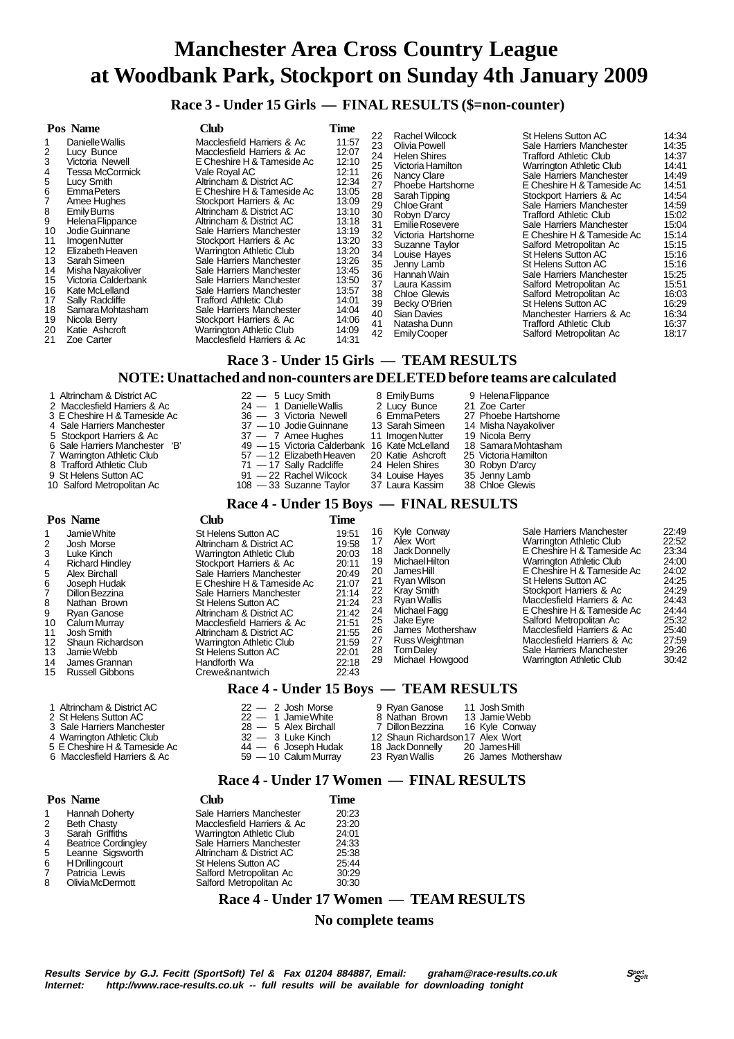**Race 3 - Under 15 Girls — FINAL RESULTS (\$=non-counter)**

|                                                                                               | Pos Name                                                                                                                                                                                                                                                                                                                                                                             | Club                                                                                                                                                                                                                                                                                                                                                                                                                                                                                                                                                                                                             | Time                                                                                                                                                                                      |                                                                                                                            |                                                                                                                                                                                                                                                                                                                                                                                               |                                                                                                                                                                                                                                                                                                                                                                                                                                                                                                                                                                                                    |                                                                                                                                                                                           |
|-----------------------------------------------------------------------------------------------|--------------------------------------------------------------------------------------------------------------------------------------------------------------------------------------------------------------------------------------------------------------------------------------------------------------------------------------------------------------------------------------|------------------------------------------------------------------------------------------------------------------------------------------------------------------------------------------------------------------------------------------------------------------------------------------------------------------------------------------------------------------------------------------------------------------------------------------------------------------------------------------------------------------------------------------------------------------------------------------------------------------|-------------------------------------------------------------------------------------------------------------------------------------------------------------------------------------------|----------------------------------------------------------------------------------------------------------------------------|-----------------------------------------------------------------------------------------------------------------------------------------------------------------------------------------------------------------------------------------------------------------------------------------------------------------------------------------------------------------------------------------------|----------------------------------------------------------------------------------------------------------------------------------------------------------------------------------------------------------------------------------------------------------------------------------------------------------------------------------------------------------------------------------------------------------------------------------------------------------------------------------------------------------------------------------------------------------------------------------------------------|-------------------------------------------------------------------------------------------------------------------------------------------------------------------------------------------|
| 2<br>5<br>6<br>8<br>9<br>10<br>11<br>12<br>13<br>14<br>15<br>16<br>17<br>18<br>19<br>20<br>21 | Danielle Wallis<br>Lucy Bunce<br>Victoria Newell<br>Tessa McCormick<br>Lucy Smith<br><b>EmmaPeters</b><br>Amee Hughes<br>Emily Burns<br>Helena Flippance<br>Jodie Guinnane<br>Imogen Nutter<br>Elizabeth Heaven<br>Sarah Simeen<br>Misha Nayakoliver<br>Victoria Calderbank<br>Kate McLelland<br>Sally Radcliffe<br>Samara Mohtasham<br>Nicola Berry<br>Katie Ashcroft<br>Zoe Carter | Macclesfield Harriers & Ac<br>Macclesfield Harriers & Ac<br>E Cheshire H & Tameside Ac<br>Vale Royal AC<br>Altrincham & District AC<br>E Cheshire H & Tameside Ac<br>Stockport Harriers & Ac<br>Altrincham & District AC<br>Altrincham & District AC<br>Sale Harriers Manchester<br>Stockport Harriers & Ac<br><b>Warrington Athletic Club</b><br>Sale Harriers Manchester<br>Sale Harriers Manchester<br>Sale Harriers Manchester<br>Sale Harriers Manchester<br>Trafford Athletic Club<br>Sale Harriers Manchester<br>Stockport Harriers & Ac<br><b>Warrington Athletic Club</b><br>Macclesfield Harriers & Ac | 11:57<br>12:07<br>12:10<br>12:11<br>12:34<br>13:05<br>13:09<br>13:10<br>13:18<br>13:19<br>13:20<br>13:20<br>13:26<br>13:45<br>13:50<br>13:57<br>14:01<br>14:04<br>14:06<br>14:09<br>14:31 | 22<br>23<br>24<br>25<br>26<br>27<br>28<br>29<br>30<br>31<br>32<br>33<br>34<br>35<br>36<br>37<br>38<br>39<br>40<br>41<br>42 | Rachel Wilcock<br>Olivia Powell<br><b>Helen Shires</b><br>Victoria Hamilton<br>Nancy Clare<br>Phoebe Hartshorne<br>Sarah Tipping<br><b>Chloe Grant</b><br>Robyn D'arcy<br>Emilie Rosevere<br>Victoria Hartshorne<br>Suzanne Taylor<br>Louise Haves<br>Jenny Lamb<br>Hannah Wain<br>Laura Kassim<br><b>Chloe Glewis</b><br>Becky O'Brien<br>Sian Davies<br>Natasha Dunn<br><b>Emily Cooper</b> | St Helens Sutton AC<br>Sale Harriers Manchester<br>Trafford Athletic Club<br><b>Warrington Athletic Club</b><br>Sale Harriers Manchester<br>E Cheshire H & Tameside Ac<br>Stockport Harriers & Ac<br>Sale Harriers Manchester<br>Trafford Athletic Club<br>Sale Harriers Manchester<br>E Cheshire H & Tameside Ac<br>Salford Metropolitan Ac<br><b>St Helens Sutton AC</b><br>St Helens Sutton AC<br>Sale Harriers Manchester<br>Salford Metropolitan Ac<br>Salford Metropolitan Ac<br>St Helens Sutton AC<br>Manchester Harriers & Ac<br><b>Trafford Athletic Club</b><br>Salford Metropolitan Ac | 14:34<br>14:35<br>14:37<br>14:41<br>14:49<br>14:51<br>14:54<br>14:59<br>15:02<br>15:04<br>15:14<br>15:15<br>15:16<br>15:16<br>15:25<br>15:51<br>16:03<br>16:29<br>16:34<br>16:37<br>18:17 |

# **Race 3 - Under 15 Girls — TEAM RESULTS**

## **NOTE: Unattached and non-counters are DELETED before teams are calculated**

| 1 Altrincham & District AC     | $22 - 5$ Lucy Smith                           | 8 Emily Burns     | 9 Helena Flippance   |
|--------------------------------|-----------------------------------------------|-------------------|----------------------|
| 2 Macclesfield Harriers & Ac   | $24 - 1$ Danielle Wallis                      | 2 Lucy Bunce      | 21 Zoe Carter        |
| 3 E Cheshire H & Tameside Ac   | 36 - 3 Victoria Newell                        | 6 EmmaPeters      | 27 Phoebe Hartshorne |
| 4 Sale Harriers Manchester     | 37 - 10 Jodie Guinnane                        | 13 Sarah Simeen   | 14 Misha Nayakoliver |
| 5 Stockport Harriers & Ac      | 37 — 7 Amee Hughes                            | 11 ImogenNutter   | 19 Nicola Berry      |
| 6 Sale Harriers Manchester 'B' | 49 - 15 Victoria Calderbank 16 Kate McLelland |                   | 18 Samara Mohtasham  |
| 7 Warrington Athletic Club     | 57 - 12 Elizabeth Heaven                      | 20 Katie Ashcroft | 25 Victoria Hamilton |
| 8 Trafford Athletic Club       | 71 — 17 Sally Radcliffe                       | 24 Helen Shires   | 30 Robyn D'arcy      |
| 9 St Helens Sutton AC          | 91 - 22 Rachel Wilcock                        | 34 Louise Hayes   | 35 Jenny Lamb        |
| 10 Salford Metropolitan Ac     | $108 - 33$ Suzanne Taylor                     | 37 Laura Kassim   | 38 Chloe Glewis      |

### **Race 4 - Under 15 Boys — FINAL RESULTS**

|                                                                     | Pos Name                                                                                                                                                                                                                                                       | Club                                                                                                                                                                                                                                                                                                                                                                                                                                                                                                                                                                                                                                                                                                                                        | Time                                                                                                                                                |                                                                                  |                                                                                                                                                                                                                                                             |                                                                                                                                                                                                                                                                                                                                                                                                                         |                                                                                                                            |
|---------------------------------------------------------------------|----------------------------------------------------------------------------------------------------------------------------------------------------------------------------------------------------------------------------------------------------------------|---------------------------------------------------------------------------------------------------------------------------------------------------------------------------------------------------------------------------------------------------------------------------------------------------------------------------------------------------------------------------------------------------------------------------------------------------------------------------------------------------------------------------------------------------------------------------------------------------------------------------------------------------------------------------------------------------------------------------------------------|-----------------------------------------------------------------------------------------------------------------------------------------------------|----------------------------------------------------------------------------------|-------------------------------------------------------------------------------------------------------------------------------------------------------------------------------------------------------------------------------------------------------------|-------------------------------------------------------------------------------------------------------------------------------------------------------------------------------------------------------------------------------------------------------------------------------------------------------------------------------------------------------------------------------------------------------------------------|----------------------------------------------------------------------------------------------------------------------------|
| 2<br>3<br>4<br>5<br>6<br>8<br>9<br>10<br>11<br>12<br>13<br>14<br>15 | Jamie White<br>Josh Morse<br>Luke Kinch<br><b>Richard Hindley</b><br>Alex Birchall<br>Joseph Hudak<br>Dillon Bezzina<br>Nathan Brown<br>Rvan Ganose<br>Calum Murray<br>Josh Smith<br>Shaun Richardson<br>Jamie Webb<br>James Grannan<br><b>Russell Gibbons</b> | St Helens Sutton AC<br>Altrincham & District AC<br><b>Warrington Athletic Club</b><br>Stockport Harriers & Ac<br>Sale Harriers Manchester<br>E Cheshire H & Tameside Ac<br>Sale Harriers Manchester<br>St Helens Sutton AC<br>Altrincham & District AC<br>Macclesfield Harriers & Ac<br>Altrincham & District AC<br>Warrington Athletic Club<br>St Helens Sutton AC<br>Handforth Wa<br>Crewe&nantwich<br>$\mathbf{L}$ $\mathbf{L}$ $\mathbf{L}$ $\mathbf{L}$ $\mathbf{L}$ $\mathbf{L}$ $\mathbf{L}$ $\mathbf{L}$ $\mathbf{L}$ $\mathbf{L}$ $\mathbf{L}$ $\mathbf{L}$ $\mathbf{L}$ $\mathbf{L}$ $\mathbf{L}$ $\mathbf{L}$ $\mathbf{L}$ $\mathbf{L}$ $\mathbf{L}$ $\mathbf{L}$ $\mathbf{L}$ $\mathbf{L}$ $\mathbf{L}$ $\mathbf{L}$ $\mathbf{$ | 19:51<br>19:58<br>20:03<br>20:11<br>20:49<br>21:07<br>21:14<br>21:24<br>21:42<br>21:51<br>21:55<br>21:59<br>22:01<br>22:18<br>22:43<br>$\mathbf{f}$ | 16<br>17<br>18<br>19<br>20<br>21<br>22<br>23<br>24<br>25<br>26<br>27<br>28<br>29 | Kyle Conway<br>Alex Wort<br>Jack Donnelly<br>Michael Hilton<br>James Hill<br><b>Rvan Wilson</b><br>Kray Smith<br>Rvan Wallis<br>Michael Fagg<br>Jake Eyre<br>James Mothershaw<br>Russ Weightman<br>Tom Dalev<br>Michael Howgood<br><b>THE LAT DECIT THE</b> | Sale Harriers Manchester<br><b>Warrington Athletic Club</b><br>E Cheshire H & Tameside Ac<br>Warrington Athletic Club<br>E Cheshire H & Tameside Ac<br>St Helens Sutton AC<br>Stockport Harriers & Ac<br>Macclesfield Harriers & Ac<br>E Cheshire H & Tameside Ac<br>Salford Metropolitan Ac<br>Macclesfield Harriers & Ac<br>Macclesfield Harriers & Ac<br>Sale Harriers Manchester<br><b>Warrington Athletic Club</b> | 22:49<br>22:52<br>23:34<br>24:00<br>24:02<br>24:25<br>24:29<br>24:43<br>24:44<br>25:32<br>25:40<br>27:59<br>29:26<br>30:42 |
|                                                                     |                                                                                                                                                                                                                                                                |                                                                                                                                                                                                                                                                                                                                                                                                                                                                                                                                                                                                                                                                                                                                             |                                                                                                                                                     |                                                                                  |                                                                                                                                                                                                                                                             |                                                                                                                                                                                                                                                                                                                                                                                                                         |                                                                                                                            |

#### **Race 4 - Under 15 Boys — TEAM RESULTS**

| 1 Altrincham & District AC | $22 - 2$ Josh Morse  | 9 Rvan Ganose                | 11 Josh Smith |
|----------------------------|----------------------|------------------------------|---------------|
| 2 St Helens Sutton AC      | $22 - 1$ Jamie White | 8 Nathan Brown 13 Jamie Webb |               |

- 2 St Helens Sutton AC 22 1 Jamie White 8 Nathan Brown 13 Jamie Webb 3 Sale Harriers Manchester 28 5 Alex Birchall 7 Dillon Bezzina 16 Kyle Conway
	-
- 4 Warrington Athletic Club  $\overline{32} 3$  Luke Kinch 12 Shaun Richardson 17 Alex Wort<br>5 E Cheshire H & Tameside Ac  $\overline{44} 6$  Joseph Hudak 18 Jack Donnelly 20 James Hill

5 E Cheshire H & Tameside Ac  $\frac{44}{4} - 6$  Joseph Hudak 18 Jack Donnelly 20 James Hill<br>6 Macclesfield Harriers & Ac 59 - 10 Calum Murray 23 Ryan Wallis 26 James Mothershaw

# **Race 4 - Under 17 Women — FINAL RESULTS**

|   | Pos Name                   | Club                       | Time  |
|---|----------------------------|----------------------------|-------|
|   | Hannah Doherty             | Sale Harriers Manchester   | 20:23 |
| 2 | Beth Chasty                | Macclesfield Harriers & Ac | 23:20 |
| 3 | Sarah Griffiths            | Warrington Athletic Club   | 24:01 |
| 4 | <b>Beatrice Cordingley</b> | Sale Harriers Manchester   | 24:33 |
| 5 | Leanne Sigsworth           | Altrincham & District AC   | 25:38 |
| 6 | H Drillingcourt            | St Helens Sutton AC        | 25:44 |
| 7 | Patricia Lewis             | Salford Metropolitan Ac    | 30:29 |
| 8 | Olivia McDermott           | Salford Metropolitan Ac    | 30:30 |

6 Macclesfield Harriers & Ac

 **Race 4 - Under 17 Women — TEAM RESULTS**

# **No complete teams**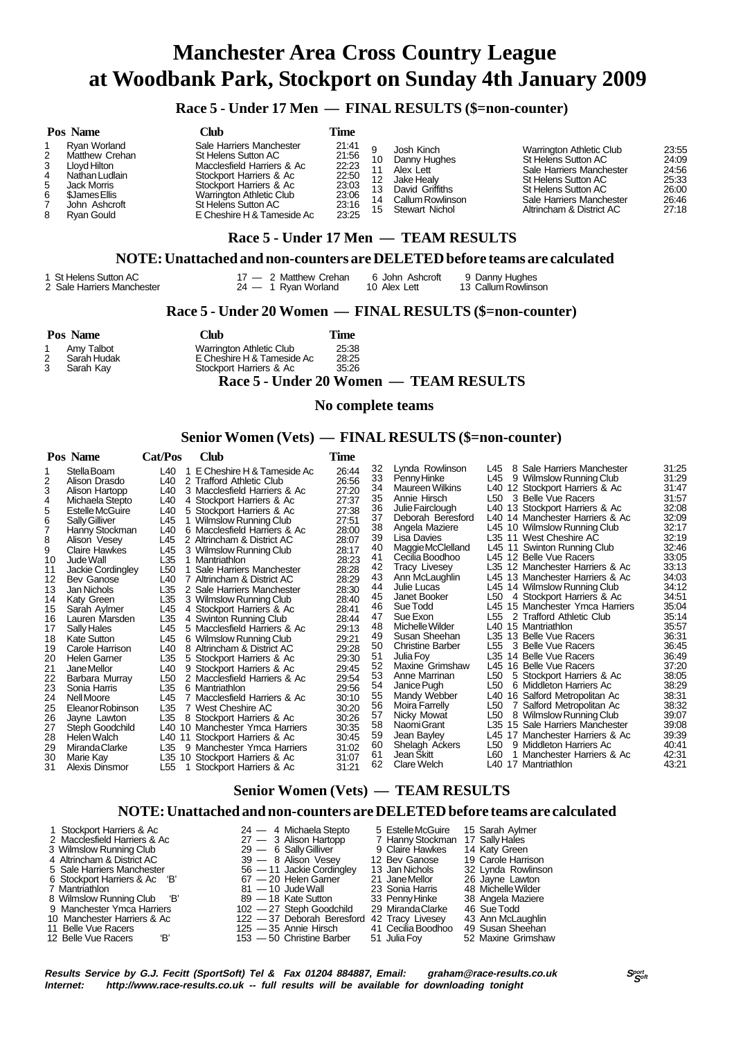# **Race 5 - Under 17 Men — FINAL RESULTS (\$=non-counter)**

| Pos Name                                                                                                                                                      | Club                                                                                                                                                                                                                 | Time                                                                 |                      |                                                                                                                       |                                                                                                                                                                                          |                                                             |
|---------------------------------------------------------------------------------------------------------------------------------------------------------------|----------------------------------------------------------------------------------------------------------------------------------------------------------------------------------------------------------------------|----------------------------------------------------------------------|----------------------|-----------------------------------------------------------------------------------------------------------------------|------------------------------------------------------------------------------------------------------------------------------------------------------------------------------------------|-------------------------------------------------------------|
| Rvan Worland<br>2<br>Matthew Crehan<br>3<br>Llovd Hilton<br>4<br>Nathan Ludlain<br>5<br>Jack Morris<br>6<br>\$James Ellis<br>John Ashcroft<br>8<br>Ryan Gould | Sale Harriers Manchester<br>St Helens Sutton AC<br>Macclesfield Harriers & Ac<br>Stockport Harriers & Ac<br>Stockport Harriers & Ac<br>Warrington Athletic Club<br>St Helens Sutton AC<br>E Cheshire H & Tameside Ac | 21:41<br>21:56<br>22:23<br>22:50<br>23:03<br>23:06<br>23:16<br>23:25 | 10<br>13<br>14<br>15 | Josh Kinch<br>Danny Hughes<br>Alex Lett<br>Jake Healv<br>David Griffiths<br><b>Callum Rowlinson</b><br>Stewart Nichol | <b>Warrington Athletic Club</b><br>St Helens Sutton AC<br>Sale Harriers Manchester<br>St Helens Sutton AC<br>St Helens Sutton AC<br>Sale Harriers Manchester<br>Altrincham & District AC | 23:55<br>24:09<br>24:56<br>25:33<br>26:00<br>26:46<br>27:18 |
|                                                                                                                                                               |                                                                                                                                                                                                                      |                                                                      |                      | Race 5 - Under 17 Men — TEAM RESULTS                                                                                  |                                                                                                                                                                                          |                                                             |

#### **NOTE: Unattached and non-counters are DELETED before teams are calculated**

#### 17 — 2 Matthew Crehan 6 John Ashcroft 9 Danny Hughes<br>
Sale Harriers Manchester 18 24 — 1 Ryan Worland 10 Alex Lett 13 Callum Rowlinson 2 Sale Harriers Manchester

#### **Race 5 - Under 20 Women — FINAL RESULTS (\$=non-counter)**

| <b>Pos Name</b>            | Club                       | Fime  |  |
|----------------------------|----------------------------|-------|--|
| Amv Talbot<br>$\mathbf{1}$ | Warrington Athletic Club   | 25:38 |  |
| 2<br>Sarah Hudak           | E Cheshire H & Tameside Ac | 28:25 |  |
| 3<br>Sarah Kav             | Stockport Harriers & Ac    | 35.26 |  |
|                            |                            |       |  |

 **Race 5 - Under 20 Women — TEAM RESULTS**

#### **No complete teams**

### **Senior Women (Vets) — FINAL RESULTS (\$=non-counter)**

| Stella Boam<br>L40<br>E Cheshire H & Tameside Ac<br>2<br>2 Trafford Athletic Club<br>Alison Drasdo<br>L40<br>3<br>L40<br>Alison Hartopp<br>3 Macclesfield Harriers & Ac<br>L40<br>4<br>Michaela Stepto<br>4 Stockport Harriers & Ac                                                                                                                                                                                                                                                                                                                                                                                                                                                                                                                                                                                                                                                                                                                                                                                                                                                                                                                                                                                                                                                                                                                                                                                                                                                                                                                                                                                             | 26:44<br>26:56<br>27:20<br>27:37<br>27:38                                                                                                                                                                                              | 32<br>33<br>34<br>35<br>36                                                                                                                               | Lynda Rowlinson<br>Penny Hinke<br><b>Maureen Wilkins</b><br>Annie Hirsch                                                                                                                                                                                                                                                                                                                                                                                                    | 8 Sale Harriers Manchester<br>L45.<br>L45<br>9 Wilmslow Running Club<br>L40 12 Stockport Harriers & Ac<br>3 Belle Vue Racers<br>L50                                                                                                                                                                                                                                                                                                                                                                                                                                                                                                                                                                                                                                                                                                                                                                       | 31:25<br>31:29<br>31:47                                                                                                                                                                                                                                  |
|---------------------------------------------------------------------------------------------------------------------------------------------------------------------------------------------------------------------------------------------------------------------------------------------------------------------------------------------------------------------------------------------------------------------------------------------------------------------------------------------------------------------------------------------------------------------------------------------------------------------------------------------------------------------------------------------------------------------------------------------------------------------------------------------------------------------------------------------------------------------------------------------------------------------------------------------------------------------------------------------------------------------------------------------------------------------------------------------------------------------------------------------------------------------------------------------------------------------------------------------------------------------------------------------------------------------------------------------------------------------------------------------------------------------------------------------------------------------------------------------------------------------------------------------------------------------------------------------------------------------------------|----------------------------------------------------------------------------------------------------------------------------------------------------------------------------------------------------------------------------------------|----------------------------------------------------------------------------------------------------------------------------------------------------------|-----------------------------------------------------------------------------------------------------------------------------------------------------------------------------------------------------------------------------------------------------------------------------------------------------------------------------------------------------------------------------------------------------------------------------------------------------------------------------|-----------------------------------------------------------------------------------------------------------------------------------------------------------------------------------------------------------------------------------------------------------------------------------------------------------------------------------------------------------------------------------------------------------------------------------------------------------------------------------------------------------------------------------------------------------------------------------------------------------------------------------------------------------------------------------------------------------------------------------------------------------------------------------------------------------------------------------------------------------------------------------------------------------|----------------------------------------------------------------------------------------------------------------------------------------------------------------------------------------------------------------------------------------------------------|
| 5<br>Estelle McGuire<br>L40<br>5 Stockport Harriers & Ac<br>6<br>L45<br><b>Sally Gilliver</b><br>1 Wilmslow Running Club<br>7<br>L40<br>Hanny Stockman<br>6 Macclesfield Harriers & Ac<br>8<br>L45<br>Alison Vesev<br>2 Altrincham & District AC<br>9<br>Claire Hawkes<br>L45<br>3 Wilmslow Running Club<br>10<br>Jude Wall<br>L35<br>1 Mantriathlon<br>L <sub>50</sub><br>Sale Harriers Manchester<br>11<br>Jackie Cordingley<br>12<br>L40<br>7 Altrincham & District AC<br>Bev Ganose<br>13<br>Jan Nichols<br>L35<br>2 Sale Harriers Manchester<br>L35<br>Katy Green<br>3 Wilmslow Running Club<br>14<br>15<br>L45<br>4 Stockport Harriers & Ac<br>Sarah Aylmer<br>L35<br>16<br>4 Swinton Running Club<br>Lauren Marsden<br>5 Macclesfield Harriers & Ac<br>17<br>Sally Hales<br>L45<br>18<br>L45<br>6 Wilmslow Running Club<br><b>Kate Sutton</b><br>19<br>Carole Harrison<br>L40<br>8 Altrincham & District AC<br>L35<br>20<br>5 Stockport Harriers & Ac<br><b>Helen Garner</b><br>21<br>L40<br>9 Stockport Harriers & Ac<br>Jane Mellor<br>L <sub>50</sub><br>22<br>2 Macclesfield Harriers & Ac<br>Barbara Murray<br>L35<br>23<br>Sonia Harris<br>6 Mantriathlon<br>24<br>7 Macclesfield Harriers & Ac<br>Nell Moore<br>L45<br>25<br>L35<br>7 West Cheshire AC<br>Eleanor Robinson<br>26<br>L35<br>Jayne Lawton<br>8 Stockport Harriers & Ac<br>27<br>L40 10 Manchester Ymca Harriers<br>Steph Goodchild<br>28<br>Helen Walch<br>L40 11 Stockport Harriers & Ac<br>29<br>L35<br>Miranda Clarke<br>9 Manchester Ymca Harriers<br>L35 10 Stockport Harriers & Ac<br>30<br>Marie Kay<br>31<br>L55<br>Stockport Harriers & Ac | 27:51<br>28:00<br>28:07<br>28:17<br>28:23<br>28:28<br>28:29<br>28:30<br>28:40<br>28:41<br>28:44<br>29:13<br>29:21<br>29:28<br>29:30<br>29:45<br>29:54<br>29:56<br>30:10<br>30:20<br>30:26<br>30:35<br>30:45<br>31:02<br>31:07<br>31:21 | 37<br>38<br>39<br>40<br>41<br>42<br>43<br>44<br>45<br>46<br>47<br>48<br>49<br>50<br>51<br>52<br>53<br>54<br>55<br>56<br>57<br>58<br>59<br>60<br>61<br>62 | Julie Fairclough<br>Deborah Beresford<br>Angela Maziere<br>Lisa Davies<br>Maggie McClelland<br>Cecilia Boodhoo<br>Tracy Livesey<br>Ann McLaughlin<br>Julie Lucas<br>Janet Booker<br>Sue Todd<br>Sue Exon<br>Michelle Wilder<br>Susan Sheehan<br><b>Christine Barber</b><br>Julia Fov<br>Maxine Grimshaw<br>Anne Marrinan<br>Janice Pugh<br>Mandy Webber<br><b>Moira Farrelly</b><br>Nicky Mowat<br>NaomiGrant<br>Jean Bayley<br>Shelagh Ackers<br>Jean Skitt<br>Clare Welch | L40 13 Stockport Harriers & Ac<br>L40 14 Manchester Harriers & Ac<br>L45 10 Wilmslow Running Club<br>L35 11 West Cheshire AC<br>L45 11 Swinton Running Club<br>L45 12 Belle Vue Racers<br>L35 12 Manchester Harriers & Ac<br>L45 13 Manchester Harriers & Ac<br>L45 14 Wilmslow Running Club<br>4 Stockport Harriers & Ac<br>L50<br>L45 15 Manchester Ymca Harriers<br>L55 2 Trafford Athletic Club<br>L40 15 Mantriathlon<br>L35 13 Belle Vue Racers<br>L55<br>3 Belle Vue Racers<br>L35 14 Belle Vue Racers<br>L45 16 Belle Vue Racers<br>L50<br>5 Stockport Harriers & Ac<br>L <sub>50</sub><br>6 Middleton Harriers Ac<br>L40 16 Salford Metropolitan Ac<br>L50<br>7 Salford Metropolitan Ac<br>8 Wilmslow Running Club<br>L50<br>L35 15 Sale Harriers Manchester<br>L45 17 Manchester Harriers & Ac<br>9 Middleton Harriers Ac<br>L50<br>L60<br>1 Manchester Harriers & Ac<br>17 Mantriathlon<br>L40 | 31:57<br>32:08<br>32:09<br>32:17<br>32:19<br>32:46<br>33.05<br>33:13<br>34:03<br>34:12<br>34:51<br>35:04<br>35:14<br>35:57<br>36:31<br>36:45<br>36.49<br>37:20<br>38:05<br>38:29<br>38.31<br>38:32<br>39.07<br>39.08<br>39.39<br>40:41<br>42:31<br>43:21 |

# **Senior Women (Vets) — TEAM RESULTS**

#### **NOTE: Unattached and non-counters are DELETED before teams are calculated**

 1 Stockport Harriers & Ac 24 — 4 Michaela Stepto 5 Estelle McGuire 15 Sarah Aylmer 2 Macclesfield Harriers & Ac 27 — 3 Alison Hartopp 7 Hanny Stockman 17 Sally Hales<br>3 Wilmslow Running Club 29 — 6 Sally Gilliver 9 Claire Hawkes 14 Katy Green 3 Wilmslow Running Club 29 — 6 Sally Gilliver 9 Claire Hawkes 14 Katy Green<br>4 Altrincham & District AC 39 — 8 Alison Vesev 12 Bev Ganose 19 Carole Harrison 4 Altrincham & District AC 39 — 8 Alison Vesey 12 Bev Ganose 19 Carole Harrison 5 Sale Harriers Manchester 56 — 11 Jackie Cordingley 13 Jan Nichols 32 Lynda Rowlinson 6 Stockport Harriers & Ac 'B' 67 — 20 Helen Garner 21 Jane Mellor 26 Jayne Lawton 81 — 10 Jude Wall 23 Sonia Harris 48 Michelle Wilder<br>18 Manus 89 — 18 Kate Sutton 33 Penny Hinke 38 Angela Maziere 8 Wilmslow Running Club 'B' 89 - 18 Kate Sutton 33 Penny Hinke 38 Angela Ma<br>102 - 27 Steph Goodchild 29 Miranda Clarke 46 Sue Todd 9 Manchester Ymca Harriers 102 — 27 Steph Goodchild 29 Miranda Clarke 46 Sue Todd 10 Manchester Harriers & Ac 122 — 37 Deborah Beresford 42 Tracy Livesey 43 Ann McLaughlin 11 Belle Vue Racers 125 — 37 Deborah Beresford 42 Tracy Livesey 43 Ann McLaughlin<br>11 Belle Vue Racers 125 — 35 Annie Hirsch 41 Cecilia Boodhoo 49 Susan Sheehan<br>12 Belle Vue Racers 18' 153 — 50 Christine Barber 51 Julia Foy -50 Christine Barber